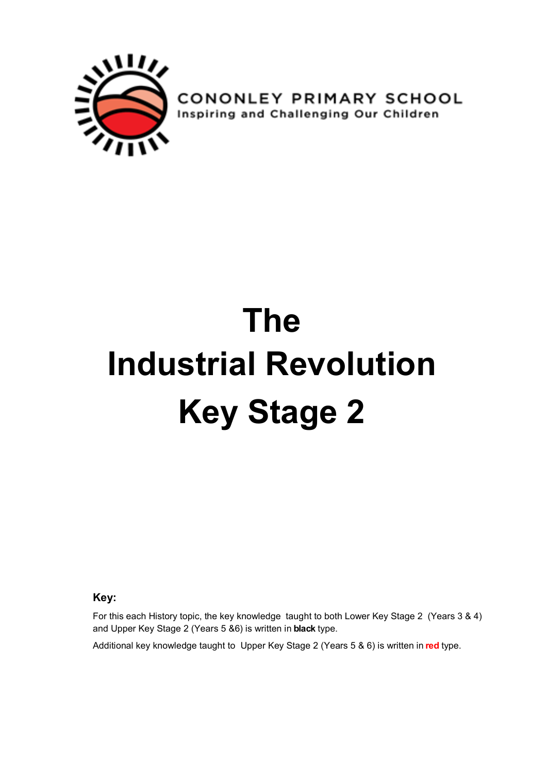

**CONONLEY PRIMARY SCHOOL**<br>Inspiring and Challenging Our Children

# **The Industrial Revolution Key Stage 2**

**Key:**

For this each History topic, the key knowledge taught to both Lower Key Stage 2 (Years 3 & 4) and Upper Key Stage 2 (Years 5 &6) is written in **black** type.

Additional key knowledge taught to Upper Key Stage 2 (Years 5 & 6) is written in **red** type.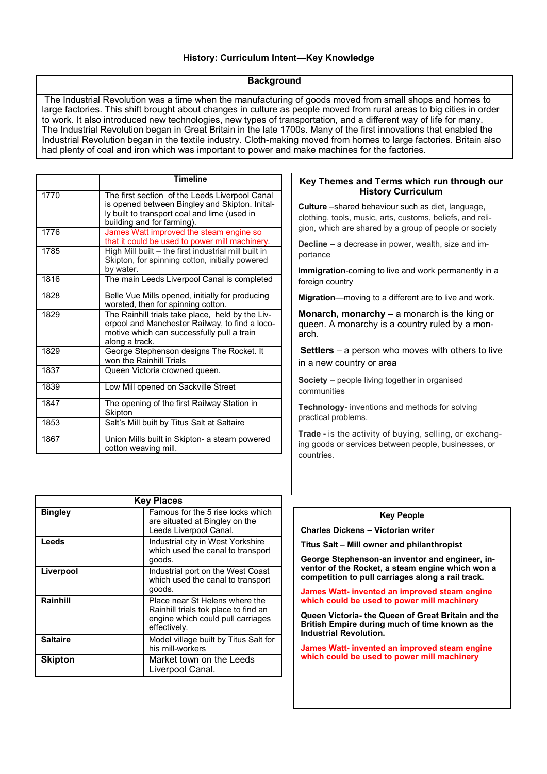#### **Background**

The Industrial Revolution was a time when the manufacturing of goods moved from small shops and homes to large factories. This shift brought about changes in culture as people moved from rural areas to big cities in order to work. It also introduced new technologies, new types of transportation, and a different way of life for many. The Industrial Revolution began in Great Britain in the late 1700s. Many of the first innovations that enabled the Industrial Revolution began in the textile industry. Cloth-making moved from homes to large factories. Britain also had plenty of coal and iron which was important to power and make machines for the factories.

|      | <b>Timeline</b>                                                                                                                                                                |
|------|--------------------------------------------------------------------------------------------------------------------------------------------------------------------------------|
| 1770 | The first section of the Leeds Liverpool Canal<br>is opened between Bingley and Skipton. Inital-<br>ly built to transport coal and lime (used in<br>building and for farming). |
| 1776 | James Watt improved the steam engine so<br>that it could be used to power mill machinery.                                                                                      |
| 1785 | High Mill built - the first industrial mill built in<br>Skipton, for spinning cotton, initially powered<br>by water.                                                           |
| 1816 | The main Leeds Liverpool Canal is completed                                                                                                                                    |
| 1828 | Belle Vue Mills opened, initially for producing<br>worsted, then for spinning cotton.                                                                                          |
| 1829 | The Rainhill trials take place, held by the Liv-<br>erpool and Manchester Railway, to find a loco-<br>motive which can successfully pull a train<br>along a track.             |
| 1829 | George Stephenson designs The Rocket. It<br>won the Rainhill Trials                                                                                                            |
| 1837 | Queen Victoria crowned queen.                                                                                                                                                  |
| 1839 | Low Mill opened on Sackville Street                                                                                                                                            |
| 1847 | The opening of the first Railway Station in<br>Skipton                                                                                                                         |
| 1853 | Salt's Mill built by Titus Salt at Saltaire                                                                                                                                    |
| 1867 | Union Mills built in Skipton- a steam powered<br>cotton weaving mill.                                                                                                          |

| <b>Key Places</b> |                                                                                                                             |  |
|-------------------|-----------------------------------------------------------------------------------------------------------------------------|--|
| <b>Bingley</b>    | Famous for the 5 rise locks which<br>are situated at Bingley on the<br>Leeds Liverpool Canal.                               |  |
| Leeds             | Industrial city in West Yorkshire<br>which used the canal to transport<br>goods.                                            |  |
| Liverpool         | Industrial port on the West Coast<br>which used the canal to transport<br>goods.                                            |  |
| Rainhill          | Place near St Helens where the<br>Rainhill trials tok place to find an<br>engine which could pull carriages<br>effectively. |  |
| <b>Saltaire</b>   | Model village built by Titus Salt for<br>his mill-workers                                                                   |  |
| <b>Skipton</b>    | Market town on the Leeds<br>Liverpool Canal.                                                                                |  |

#### **Key Themes and Terms which run through our History Curriculum**

**Culture** –shared behaviour such as diet, language, clothing, tools, music, arts, customs, beliefs, and religion, which are shared by a group of people or society

**Decline –** a decrease in power, wealth, size and importance

**Immigration**-coming to live and work permanently in a foreign country

**Migration**—moving to a different are to live and work.

**Monarch, monarchy** – a monarch is the king or queen. A monarchy is a country ruled by a monarch.

**Settlers** – a person who moves with others to live in a new country or area

**Society** – people living together in organised communities

**Technology**- inventions and methods for solving practical problems.

**Trade -** is the activity of buying, selling, or exchanging goods or services between people, businesses, or countries.

#### **Key People**

**Charles Dickens – Victorian writer**

**Titus Salt – Mill owner and philanthropist**

**George Stephenson-an inventor and engineer, inventor of the Rocket, a steam engine which won a competition to pull carriages along a rail track.** 

**James Watt- invented an improved steam engine which could be used to power mill machinery**

**Queen Victoria- the Queen of Great Britain and the British Empire during much of time known as the Industrial Revolution.** 

**James Watt- invented an improved steam engine which could be used to power mill machinery**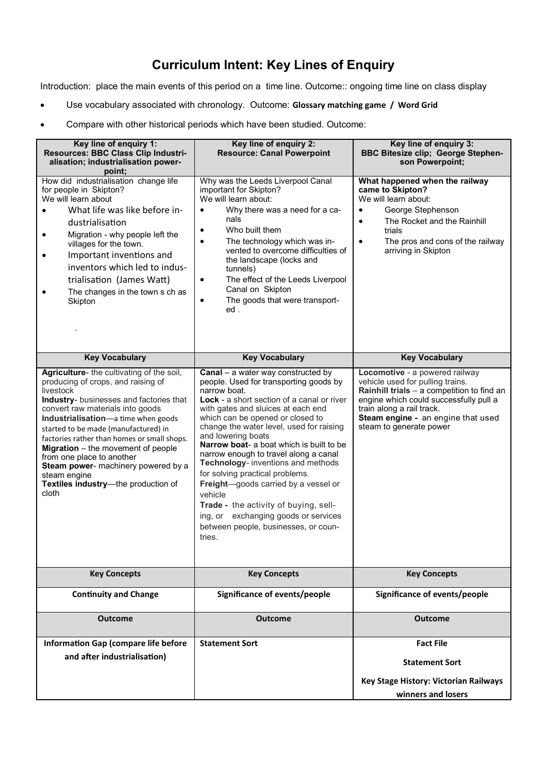### **Curriculum Intent: Key Lines of Enquiry**

Introduction: place the main events of this period on a time line. Outcome:: ongoing time line on class display

- Use vocabulary associated with chronology. Outcome: **Glossary matching game / Word Grid**
- Compare with other historical periods which have been studied. Outcome:

| Key line of enquiry 1:<br>Resources: BBC Class Clip Industri-<br>alisation; industrialisation power-<br>point;                                                                                                                                                                                                                                                                                                                                                                                      | Key line of enquiry 2:<br><b>Resource: Canal Powerpoint</b>                                                                                                                                                                                                                                                                                                                                                                                                                                                                                                                                                                                              | Key line of enquiry 3:<br><b>BBC Bitesize clip; George Stephen-</b><br>son Powerpoint;                                                                                                                                                                     |
|-----------------------------------------------------------------------------------------------------------------------------------------------------------------------------------------------------------------------------------------------------------------------------------------------------------------------------------------------------------------------------------------------------------------------------------------------------------------------------------------------------|----------------------------------------------------------------------------------------------------------------------------------------------------------------------------------------------------------------------------------------------------------------------------------------------------------------------------------------------------------------------------------------------------------------------------------------------------------------------------------------------------------------------------------------------------------------------------------------------------------------------------------------------------------|------------------------------------------------------------------------------------------------------------------------------------------------------------------------------------------------------------------------------------------------------------|
| How did industrialisation change life<br>for people in Skipton?<br>We will learn about<br>What life was like before in-<br>dustrialisation<br>Migration - why people left the<br>villages for the town.<br>Important inventions and<br>$\bullet$<br>inventors which led to indus-<br>trialisation (James Watt)<br>The changes in the town s ch as<br>Skipton                                                                                                                                        | Why was the Leeds Liverpool Canal<br>important for Skipton?<br>We will learn about:<br>Why there was a need for a ca-<br>$\bullet$<br>nals<br>Who built them<br>$\bullet$<br>The technology which was in-<br>$\bullet$<br>vented to overcome difficulties of<br>the landscape (locks and<br>tunnels)<br>The effect of the Leeds Liverpool<br>$\bullet$<br>Canal on Skipton<br>The goods that were transport-<br>$\bullet$<br>ed.                                                                                                                                                                                                                         | What happened when the railway<br>came to Skipton?<br>We will learn about:<br>George Stephenson<br>$\bullet$<br>The Rocket and the Rainhill<br>$\bullet$<br>trials<br>The pros and cons of the railway<br>$\bullet$<br>arriving in Skipton                 |
| <b>Key Vocabulary</b>                                                                                                                                                                                                                                                                                                                                                                                                                                                                               | <b>Key Vocabulary</b>                                                                                                                                                                                                                                                                                                                                                                                                                                                                                                                                                                                                                                    | <b>Key Vocabulary</b>                                                                                                                                                                                                                                      |
| Agriculture- the cultivating of the soil,<br>producing of crops, and raising of<br>livestock<br><b>Industry-</b> businesses and factories that<br>convert raw materials into goods<br>Industrialisation-a time when goods<br>started to be made (manufactured) in<br>factories rather than homes or small shops.<br><b>Migration</b> $-$ the movement of people<br>from one place to another<br>Steam power- machinery powered by a<br>steam engine<br>Textiles industry-the production of<br>cloth | <b>Canal</b> – a water way constructed by<br>people. Used for transporting goods by<br>narrow boat.<br><b>Lock</b> - a short section of a canal or river<br>with gates and sluices at each end<br>which can be opened or closed to<br>change the water level, used for raising<br>and lowering boats<br>Narrow boat- a boat which is built to be<br>narrow enough to travel along a canal<br>Technology- inventions and methods<br>for solving practical problems.<br>Freight-goods carried by a vessel or<br>vehicle<br>Trade - the activity of buying, sell-<br>ing, or exchanging goods or services<br>between people, businesses, or coun-<br>tries. | Locomotive - a powered railway<br>vehicle used for pulling trains.<br>Rainhill trials $-$ a competition to find an<br>engine which could successfully pull a<br>train along a rail track.<br>Steam engine - an engine that used<br>steam to generate power |
| <b>Key Concepts</b>                                                                                                                                                                                                                                                                                                                                                                                                                                                                                 | <b>Key Concepts</b>                                                                                                                                                                                                                                                                                                                                                                                                                                                                                                                                                                                                                                      | <b>Key Concepts</b>                                                                                                                                                                                                                                        |
| <b>Continuity and Change</b>                                                                                                                                                                                                                                                                                                                                                                                                                                                                        | Significance of events/people                                                                                                                                                                                                                                                                                                                                                                                                                                                                                                                                                                                                                            | Significance of events/people                                                                                                                                                                                                                              |
| <b>Outcome</b>                                                                                                                                                                                                                                                                                                                                                                                                                                                                                      | <b>Outcome</b>                                                                                                                                                                                                                                                                                                                                                                                                                                                                                                                                                                                                                                           | <b>Outcome</b>                                                                                                                                                                                                                                             |
| <b>Information Gap (compare life before</b>                                                                                                                                                                                                                                                                                                                                                                                                                                                         | <b>Statement Sort</b>                                                                                                                                                                                                                                                                                                                                                                                                                                                                                                                                                                                                                                    | <b>Fact File</b>                                                                                                                                                                                                                                           |
| and after industrialisation)                                                                                                                                                                                                                                                                                                                                                                                                                                                                        |                                                                                                                                                                                                                                                                                                                                                                                                                                                                                                                                                                                                                                                          | <b>Statement Sort</b>                                                                                                                                                                                                                                      |
|                                                                                                                                                                                                                                                                                                                                                                                                                                                                                                     |                                                                                                                                                                                                                                                                                                                                                                                                                                                                                                                                                                                                                                                          | Key Stage History: Victorian Railways                                                                                                                                                                                                                      |
|                                                                                                                                                                                                                                                                                                                                                                                                                                                                                                     |                                                                                                                                                                                                                                                                                                                                                                                                                                                                                                                                                                                                                                                          | winners and losers                                                                                                                                                                                                                                         |